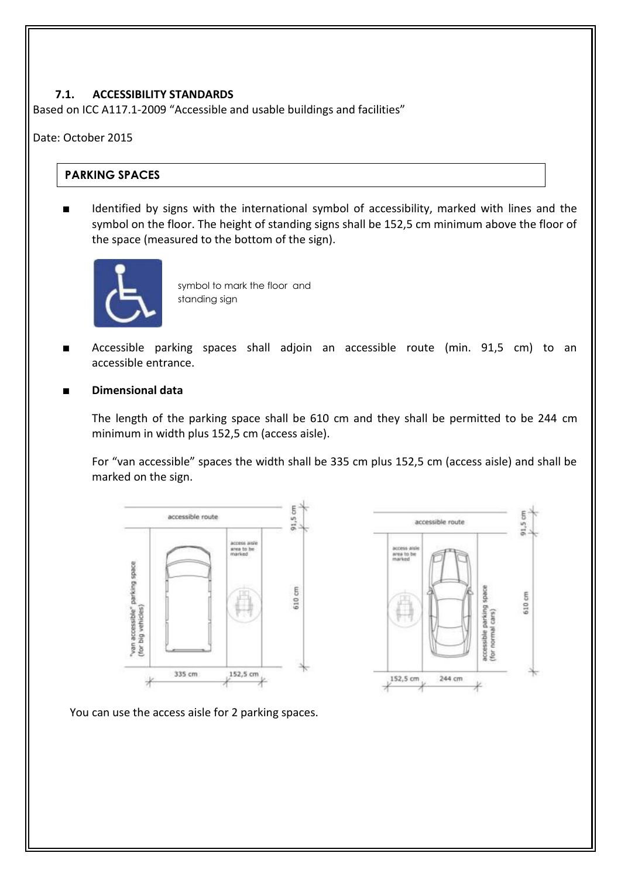#### **7.1. ACCESSIBILITY STANDARDS**

Based on ICC A117.1-2009 "Accessible and usable buildings and facilities"

#### Date: October 2015

### **PARKING SPACES**

Identified by signs with the international symbol of accessibility, marked with lines and the symbol on the floor. The height of standing signs shall be 152,5 cm minimum above the floor of the space (measured to the bottom of the sign).



symbol to mark the floor and standing sign

- Accessible parking spaces shall adjoin an accessible route (min. 91,5 cm) to an accessible entrance.
- **Dimensional data**

The length of the parking space shall be 610 cm and they shall be permitted to be 244 cm minimum in width plus 152,5 cm (access aisle).

For "van accessible" spaces the width shall be 335 cm plus 152,5 cm (access aisle) and shall be marked on the sign.





You can use the access aisle for 2 parking spaces.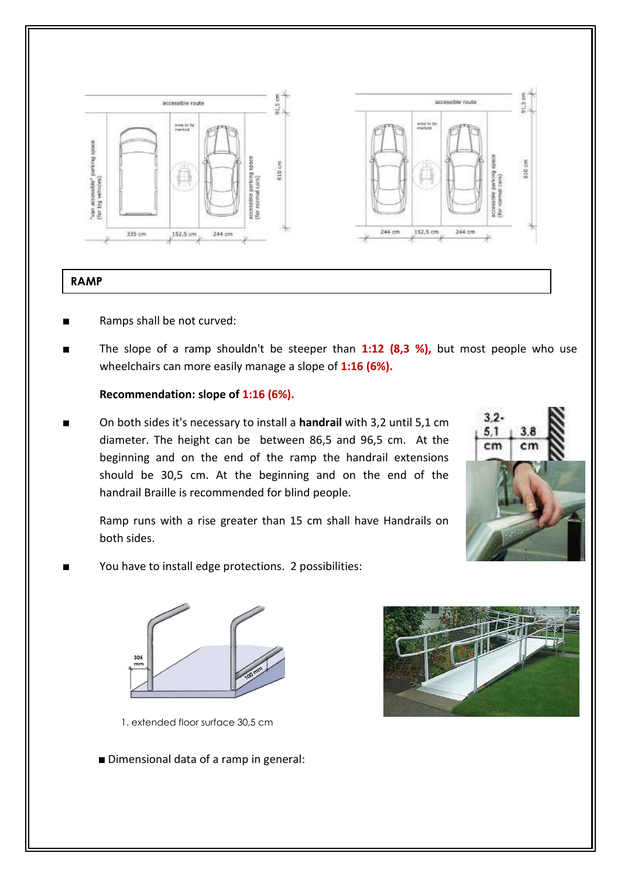

- Ramps shall be not curved:
- The slope of a ramp shouldn't be steeper than 1:12 (8,3 %), but most people who use wheelchairs can more easily manage a slope of **1:16 (6%).**

#### **Recommendation: slope of 1:16 (6%).**

■ On both sides it's necessary to install a **handrail** with 3,2 until 5,1 cm diameter. The height can be between 86,5 and 96,5 cm. At the beginning and on the end of the ramp the handrail extensions should be 30,5 cm. At the beginning and on the end of the handrail Braille is recommended for blind people.



- Ramp runs with a rise greater than 15 cm shall have Handrails on both sides.
- You have to install edge protections. 2 possibilities:



1. extended floor surface 30,5 cm

■ Dimensional data of a ramp in general: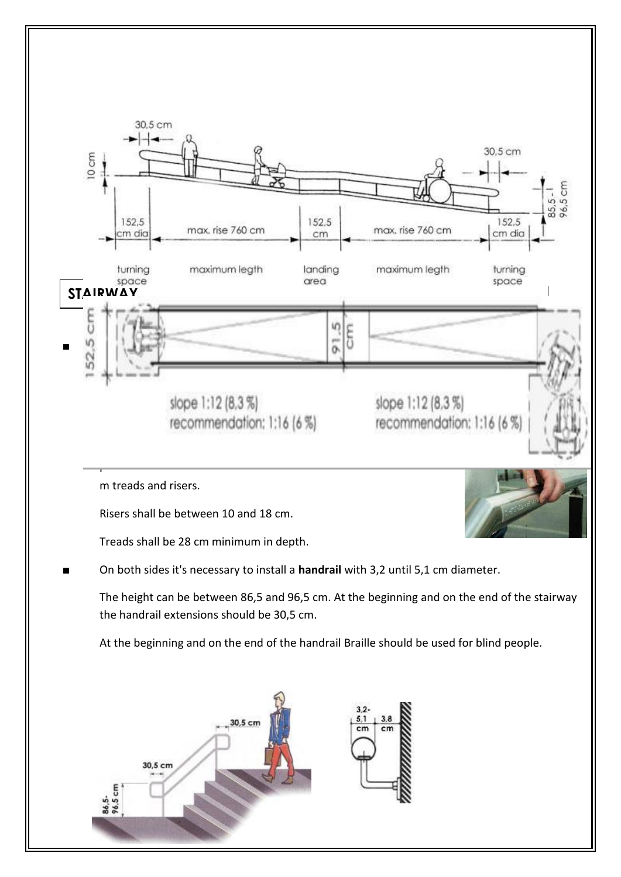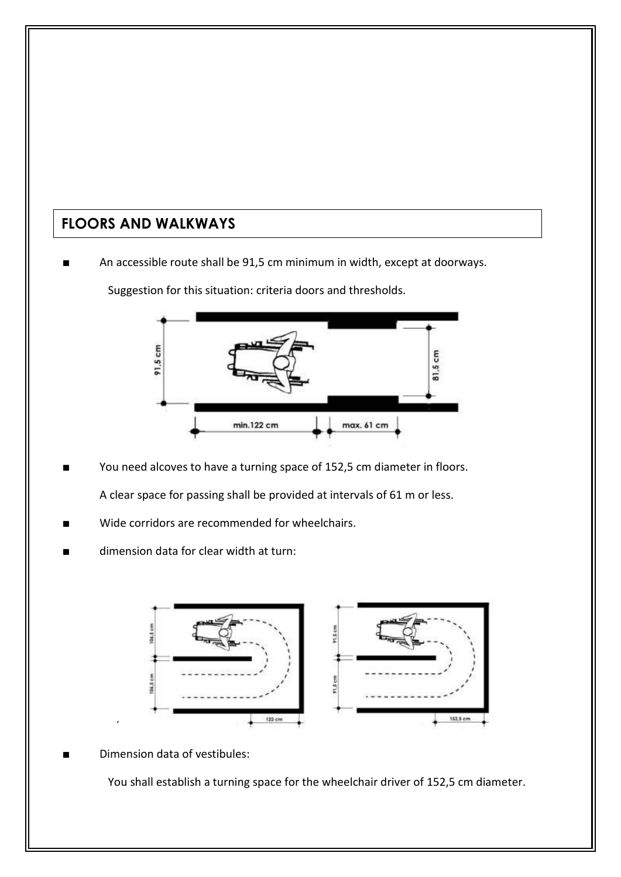# **FLOORS AND WALKWAYS**

An accessible route shall be 91,5 cm minimum in width, except at doorways.

 $91.5cm$ 통 min.122 cm max. 61 cm

Suggestion for this situation: criteria doors and thresholds.

You need alcoves to have a turning space of 152,5 cm diameter in floors.

A clear space for passing shall be provided at intervals of 61 m or less.

- Wide corridors are recommended for wheelchairs.
- dimension data for clear width at turn:



Dimension data of vestibules:

 $\overline{\phantom{a}}$ 

You shall establish a turning space for the wheelchair driver of 152,5 cm diameter.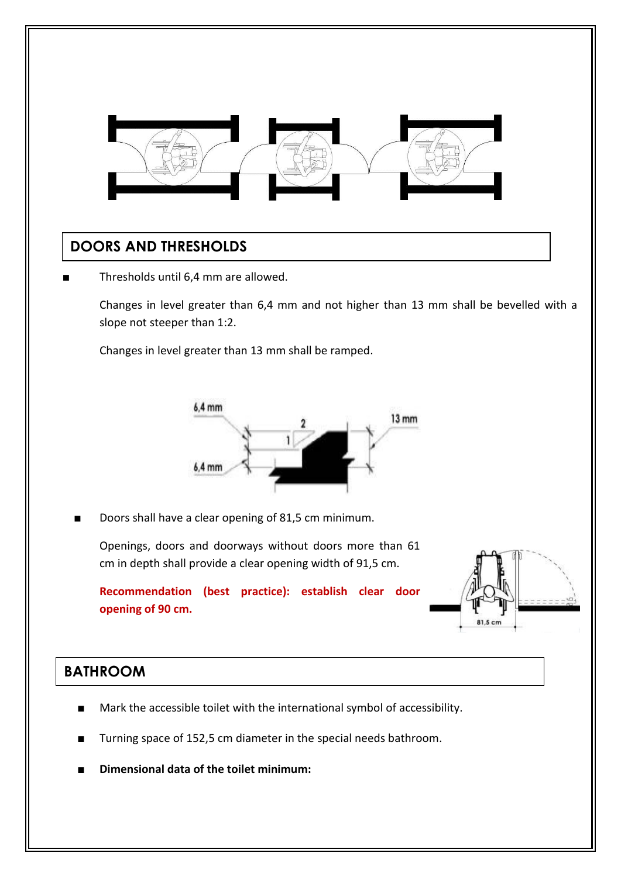

## **DOORS AND THRESHOLDS**

Thresholds until 6,4 mm are allowed.

Changes in level greater than 6,4 mm and not higher than 13 mm shall be bevelled with a slope not steeper than 1:2.

Changes in level greater than 13 mm shall be ramped.



Doors shall have a clear opening of 81,5 cm minimum.

Openings, doors and doorways without doors more than 61 cm in depth shall provide a clear opening width of 91,5 cm.

**Recommendation (best practice): establish clear door opening of 90 cm.**



## **BATHROOM**

- Mark the accessible toilet with the international symbol of accessibility.
- Turning space of 152,5 cm diameter in the special needs bathroom.
- **Dimensional data of the toilet minimum:**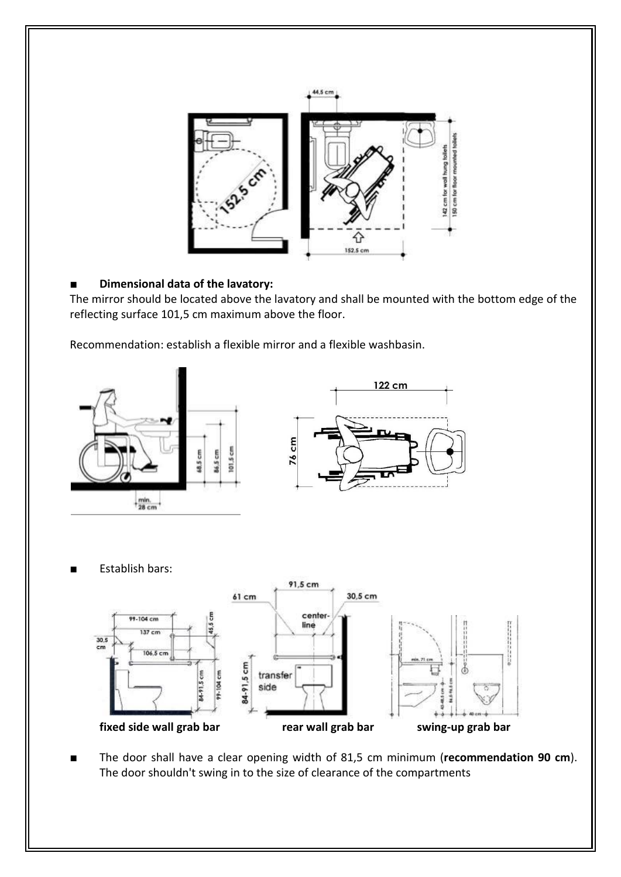

### **Dimensional data of the lavatory:**

The mirror should be located above the lavatory and shall be mounted with the bottom edge of the reflecting surface 101,5 cm maximum above the floor.

Recommendation: establish a flexible mirror and a flexible washbasin.



**Establish bars:** 



The door shall have a clear opening width of 81,5 cm minimum (**recommendation 90 cm**). The door shouldn't swing in to the size of clearance of the compartments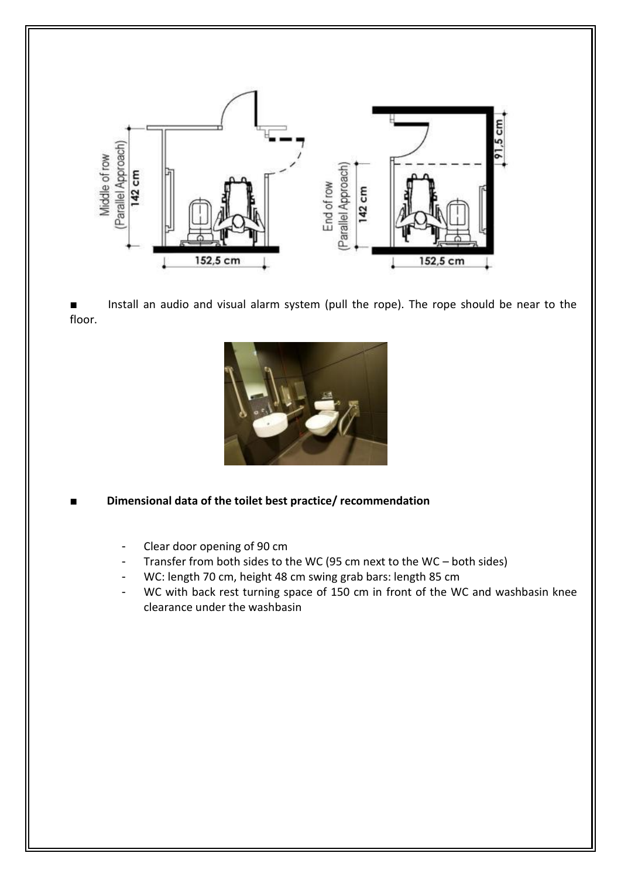

Install an audio and visual alarm system (pull the rope). The rope should be near to the floor.



**Dimensional data of the toilet best practice/ recommendation** 

- Clear door opening of 90 cm
- Transfer from both sides to the WC (95 cm next to the WC both sides)
- WC: length 70 cm, height 48 cm swing grab bars: length 85 cm
- WC with back rest turning space of 150 cm in front of the WC and washbasin knee clearance under the washbasin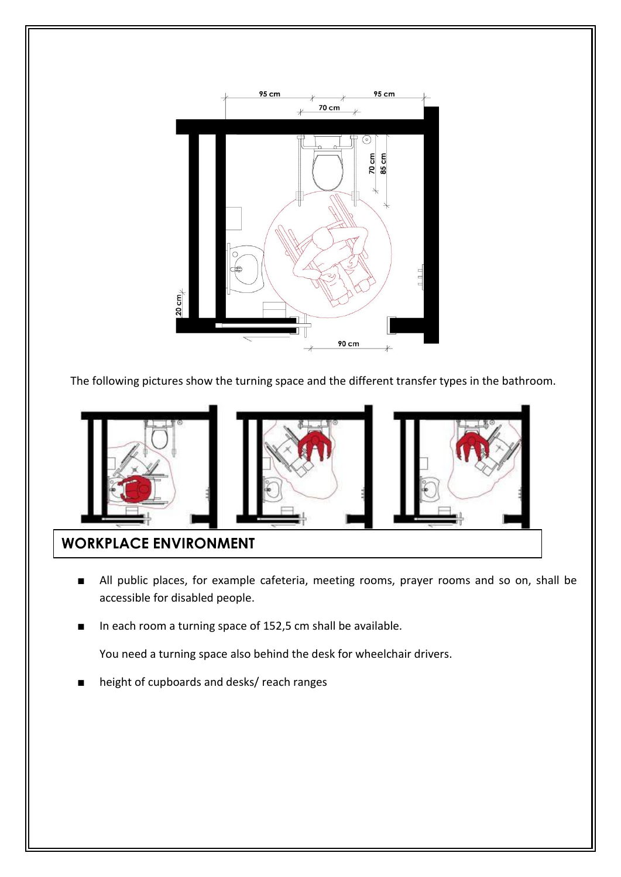

The following pictures show the turning space and the different transfer types in the bathroom.



- All public places, for example cafeteria, meeting rooms, prayer rooms and so on, shall be accessible for disabled people.
- In each room a turning space of 152,5 cm shall be available.

You need a turning space also behind the desk for wheelchair drivers.

height of cupboards and desks/ reach ranges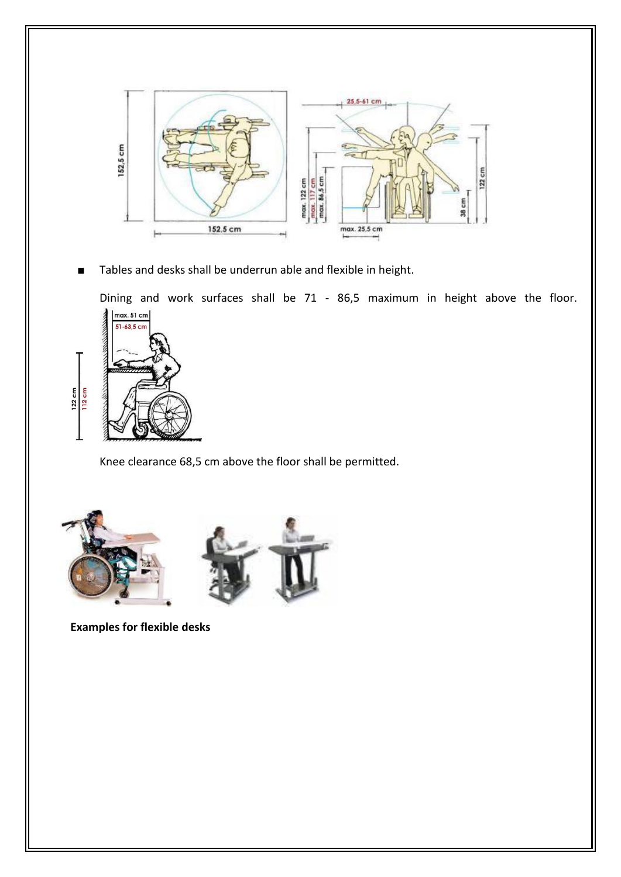

Tables and desks shall be underrun able and flexible in height.

Dining and work surfaces shall be 71 - 86,5 maximum in height above the floor.



Knee clearance 68,5 cm above the floor shall be permitted.





**Examples for flexible desks**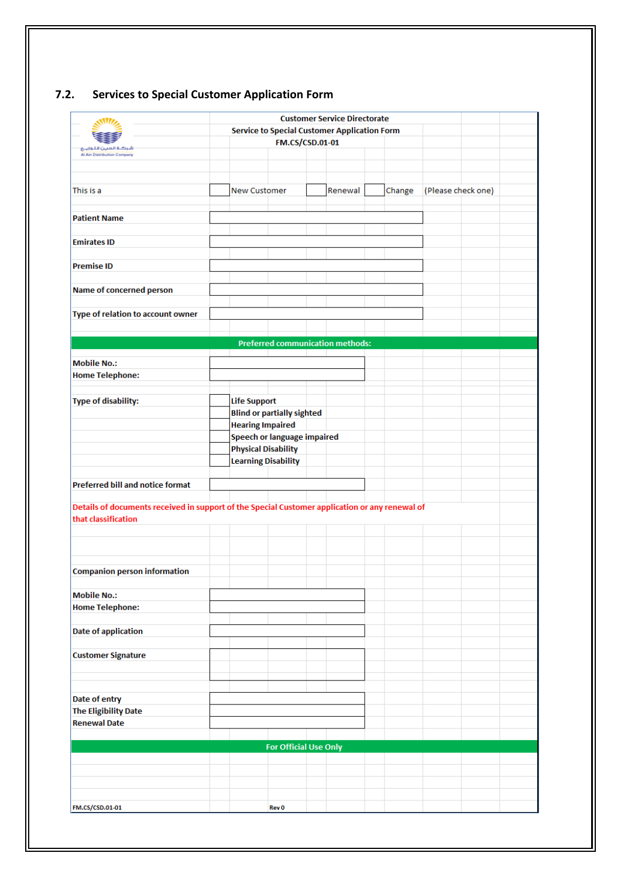|                                                                                                                                                                                                                       |                     |                                   | <b>Customer Service Directorate</b>                 |        |                    |  |
|-----------------------------------------------------------------------------------------------------------------------------------------------------------------------------------------------------------------------|---------------------|-----------------------------------|-----------------------------------------------------|--------|--------------------|--|
|                                                                                                                                                                                                                       |                     |                                   | <b>Service to Special Customer Application Form</b> |        |                    |  |
|                                                                                                                                                                                                                       |                     | FM.CS/CSD.01-01                   |                                                     |        |                    |  |
| شركلة العبين للتواييع<br>Al Ain Distribution Company                                                                                                                                                                  |                     |                                   |                                                     |        |                    |  |
|                                                                                                                                                                                                                       |                     |                                   |                                                     |        |                    |  |
|                                                                                                                                                                                                                       |                     |                                   |                                                     |        |                    |  |
| This is a                                                                                                                                                                                                             | <b>New Customer</b> |                                   | Renewal                                             | Change | (Please check one) |  |
|                                                                                                                                                                                                                       |                     |                                   |                                                     |        |                    |  |
| <b>Patient Name</b>                                                                                                                                                                                                   |                     |                                   |                                                     |        |                    |  |
|                                                                                                                                                                                                                       |                     |                                   |                                                     |        |                    |  |
| <b>Emirates ID</b>                                                                                                                                                                                                    |                     |                                   |                                                     |        |                    |  |
| <b>Premise ID</b>                                                                                                                                                                                                     |                     |                                   |                                                     |        |                    |  |
|                                                                                                                                                                                                                       |                     |                                   |                                                     |        |                    |  |
| Name of concerned person                                                                                                                                                                                              |                     |                                   |                                                     |        |                    |  |
| Type of relation to account owner                                                                                                                                                                                     |                     |                                   |                                                     |        |                    |  |
|                                                                                                                                                                                                                       |                     |                                   |                                                     |        |                    |  |
|                                                                                                                                                                                                                       |                     |                                   | <b>Preferred communication methods:</b>             |        |                    |  |
|                                                                                                                                                                                                                       |                     |                                   |                                                     |        |                    |  |
| <b>Mobile No.:</b>                                                                                                                                                                                                    |                     |                                   |                                                     |        |                    |  |
| <b>Home Telephone:</b>                                                                                                                                                                                                |                     |                                   |                                                     |        |                    |  |
|                                                                                                                                                                                                                       |                     |                                   |                                                     |        |                    |  |
| <b>Type of disability:</b>                                                                                                                                                                                            | <b>Life Support</b> |                                   |                                                     |        |                    |  |
|                                                                                                                                                                                                                       |                     | <b>Blind or partially sighted</b> |                                                     |        |                    |  |
|                                                                                                                                                                                                                       |                     | <b>Hearing Impaired</b>           |                                                     |        |                    |  |
|                                                                                                                                                                                                                       |                     | Speech or language impaired       |                                                     |        |                    |  |
|                                                                                                                                                                                                                       |                     | <b>Physical Disability</b>        |                                                     |        |                    |  |
|                                                                                                                                                                                                                       |                     | <b>Learning Disability</b>        |                                                     |        |                    |  |
|                                                                                                                                                                                                                       |                     |                                   |                                                     |        |                    |  |
| <b>Preferred bill and notice format</b>                                                                                                                                                                               |                     |                                   |                                                     |        |                    |  |
| Details of documents received in support of the Special Customer application or any renewal of                                                                                                                        |                     |                                   |                                                     |        |                    |  |
| that classification                                                                                                                                                                                                   |                     |                                   |                                                     |        |                    |  |
|                                                                                                                                                                                                                       |                     |                                   |                                                     |        |                    |  |
|                                                                                                                                                                                                                       |                     |                                   |                                                     |        |                    |  |
|                                                                                                                                                                                                                       |                     |                                   |                                                     |        |                    |  |
|                                                                                                                                                                                                                       |                     |                                   |                                                     |        |                    |  |
|                                                                                                                                                                                                                       |                     |                                   |                                                     |        |                    |  |
|                                                                                                                                                                                                                       |                     |                                   |                                                     |        |                    |  |
|                                                                                                                                                                                                                       |                     |                                   |                                                     |        |                    |  |
|                                                                                                                                                                                                                       |                     |                                   |                                                     |        |                    |  |
|                                                                                                                                                                                                                       |                     |                                   |                                                     |        |                    |  |
|                                                                                                                                                                                                                       |                     |                                   |                                                     |        |                    |  |
|                                                                                                                                                                                                                       |                     |                                   |                                                     |        |                    |  |
|                                                                                                                                                                                                                       |                     |                                   |                                                     |        |                    |  |
|                                                                                                                                                                                                                       |                     |                                   |                                                     |        |                    |  |
|                                                                                                                                                                                                                       |                     |                                   |                                                     |        |                    |  |
|                                                                                                                                                                                                                       |                     |                                   |                                                     |        |                    |  |
|                                                                                                                                                                                                                       |                     |                                   |                                                     |        |                    |  |
|                                                                                                                                                                                                                       |                     |                                   |                                                     |        |                    |  |
|                                                                                                                                                                                                                       |                     |                                   |                                                     |        |                    |  |
|                                                                                                                                                                                                                       |                     |                                   |                                                     |        |                    |  |
|                                                                                                                                                                                                                       |                     | <b>For Official Use Only</b>      |                                                     |        |                    |  |
|                                                                                                                                                                                                                       |                     |                                   |                                                     |        |                    |  |
|                                                                                                                                                                                                                       |                     |                                   |                                                     |        |                    |  |
|                                                                                                                                                                                                                       |                     |                                   |                                                     |        |                    |  |
| <b>Companion person information</b><br><b>Mobile No.:</b><br><b>Home Telephone:</b><br><b>Date of application</b><br><b>Customer Signature</b><br>Date of entry<br><b>The Eligibility Date</b><br><b>Renewal Date</b> |                     |                                   |                                                     |        |                    |  |

## **7.2. Services to Special Customer Application Form**